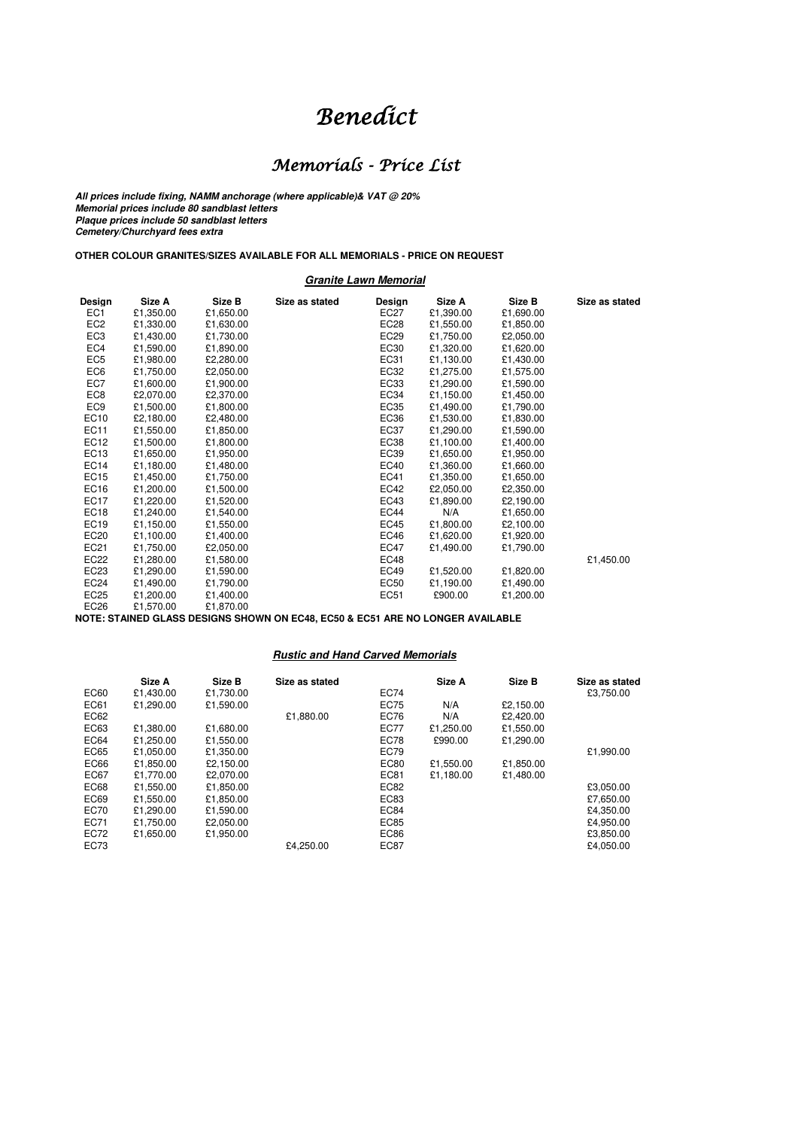# Benedict

## Memorials - Price List

**All prices include fixing, NAMM anchorage (where applicable)& VAT @ 20% Memorial prices include 80 sandblast letters Plaque prices include 50 sandblast letters Cemetery/Churchyard fees extra**

## **OTHER COLOUR GRANITES/SIZES AVAILABLE FOR ALL MEMORIALS - PRICE ON REQUEST**

| <b>Granite Lawn Memorial</b> |           |           |                |                  |           |           |                |
|------------------------------|-----------|-----------|----------------|------------------|-----------|-----------|----------------|
| Design                       | Size A    | Size B    | Size as stated | Design           | Size A    | Size B    | Size as stated |
| EC <sub>1</sub>              | £1,350.00 | £1,650.00 |                | EC27             | £1,390.00 | £1,690.00 |                |
| EC <sub>2</sub>              | £1,330.00 | £1,630.00 |                | EC <sub>28</sub> | £1,550.00 | £1,850.00 |                |
| EC <sub>3</sub>              | £1,430.00 | £1,730.00 |                | EC29             | £1,750.00 | £2,050.00 |                |
| EC4                          | £1.590.00 | £1.890.00 |                | EC30             | £1.320.00 | £1.620.00 |                |
| EC <sub>5</sub>              | £1,980.00 | £2,280.00 |                | EC31             | £1,130.00 | £1,430.00 |                |
| EC <sub>6</sub>              | £1,750.00 | £2,050.00 |                | EC32             | £1,275.00 | £1,575.00 |                |
| EC7                          | £1,600.00 | £1,900.00 |                | EC33             | £1.290.00 | £1.590.00 |                |
| EC8                          | £2,070.00 | £2,370.00 |                | EC34             | £1,150.00 | £1,450.00 |                |
| EC <sub>9</sub>              | £1,500.00 | £1,800.00 |                | EC35             | £1,490.00 | £1,790.00 |                |
| EC10                         | £2,180.00 | £2,480.00 |                | EC36             | £1,530.00 | £1,830.00 |                |
| EC11                         | £1,550.00 | £1,850.00 |                | EC37             | £1.290.00 | £1,590.00 |                |
| EC12                         | £1.500.00 | £1.800.00 |                | EC38             | £1.100.00 | £1.400.00 |                |
| EC13                         | £1,650.00 | £1,950.00 |                | EC39             | £1,650.00 | £1,950.00 |                |
| <b>EC14</b>                  | £1,180.00 | £1,480.00 |                | EC40             | £1,360.00 | £1,660.00 |                |
| <b>EC15</b>                  | £1.450.00 | £1.750.00 |                | EC41             | £1.350.00 | £1,650.00 |                |
| EC16                         | £1,200.00 | £1,500.00 |                | EC42             | £2,050.00 | £2,350.00 |                |
| <b>EC17</b>                  | £1,220.00 | £1,520.00 |                | EC43             | £1,890.00 | £2,190.00 |                |
| EC <sub>18</sub>             | £1.240.00 | £1,540.00 |                | <b>EC44</b>      | N/A       | £1,650.00 |                |
| EC19                         | £1,150.00 | £1,550.00 |                | EC45             | £1,800.00 | £2,100.00 |                |
| EC20                         | £1.100.00 | £1,400.00 |                | EC46             | £1,620.00 | £1,920.00 |                |
| EC21                         | £1,750.00 | £2,050.00 |                | <b>EC47</b>      | £1,490.00 | £1,790.00 |                |
| EC <sub>22</sub>             | £1,280.00 | £1,580.00 |                | <b>EC48</b>      |           |           | £1,450.00      |
| EC23                         | £1,290.00 | £1,590.00 |                | EC49             | £1,520.00 | £1,820.00 |                |
| EC24                         | £1,490.00 | £1,790.00 |                | EC50             | £1,190.00 | £1,490.00 |                |
| EC25                         | £1,200.00 | £1,400.00 |                | EC51             | £900.00   | £1,200.00 |                |
| EC26                         | £1.570.00 | £1.870.00 |                |                  |           |           |                |

**NOTE: STAINED GLASS DESIGNS SHOWN ON EC48, EC50 & EC51 ARE NO LONGER AVAILABLE**

## **Rustic and Hand Carved Memorials**

|             | Size A    | Size B    | Size as stated |             | Size A    | Size B    | Size as stated |
|-------------|-----------|-----------|----------------|-------------|-----------|-----------|----------------|
| EC60        | £1.430.00 | £1.730.00 |                | EC74        |           |           | £3,750.00      |
| EC61        | £1.290.00 | £1.590.00 |                | EC75        | N/A       | £2.150.00 |                |
| EC62        |           |           | £1.880.00      | <b>EC76</b> | N/A       | £2.420.00 |                |
| EC63        | £1.380.00 | £1.680.00 |                | EC77        | £1.250.00 | £1.550.00 |                |
| EC64        | £1.250.00 | £1,550.00 |                | EC78        | £990.00   | £1,290.00 |                |
| EC65        | £1.050.00 | £1.350.00 |                | <b>EC79</b> |           |           | £1,990.00      |
| EC66        | £1,850.00 | £2.150.00 |                | <b>EC80</b> | £1.550.00 | £1,850.00 |                |
| <b>EC67</b> | £1.770.00 | £2.070.00 |                | <b>EC81</b> | £1.180.00 | £1.480.00 |                |
| EC68        | £1.550.00 | £1.850.00 |                | EC82        |           |           | £3,050.00      |
| EC69        | £1.550.00 | £1.850.00 |                | EC83        |           |           | £7,650.00      |
| EC70        | £1.290.00 | £1.590.00 |                | <b>EC84</b> |           |           | £4.350.00      |
| EC71        | £1.750.00 | £2.050.00 |                | <b>EC85</b> |           |           | £4,950.00      |
| EC72        | £1.650.00 | £1,950.00 |                | <b>EC86</b> |           |           | £3,850.00      |
| EC73        |           |           | £4.250.00      | <b>EC87</b> |           |           | £4.050.00      |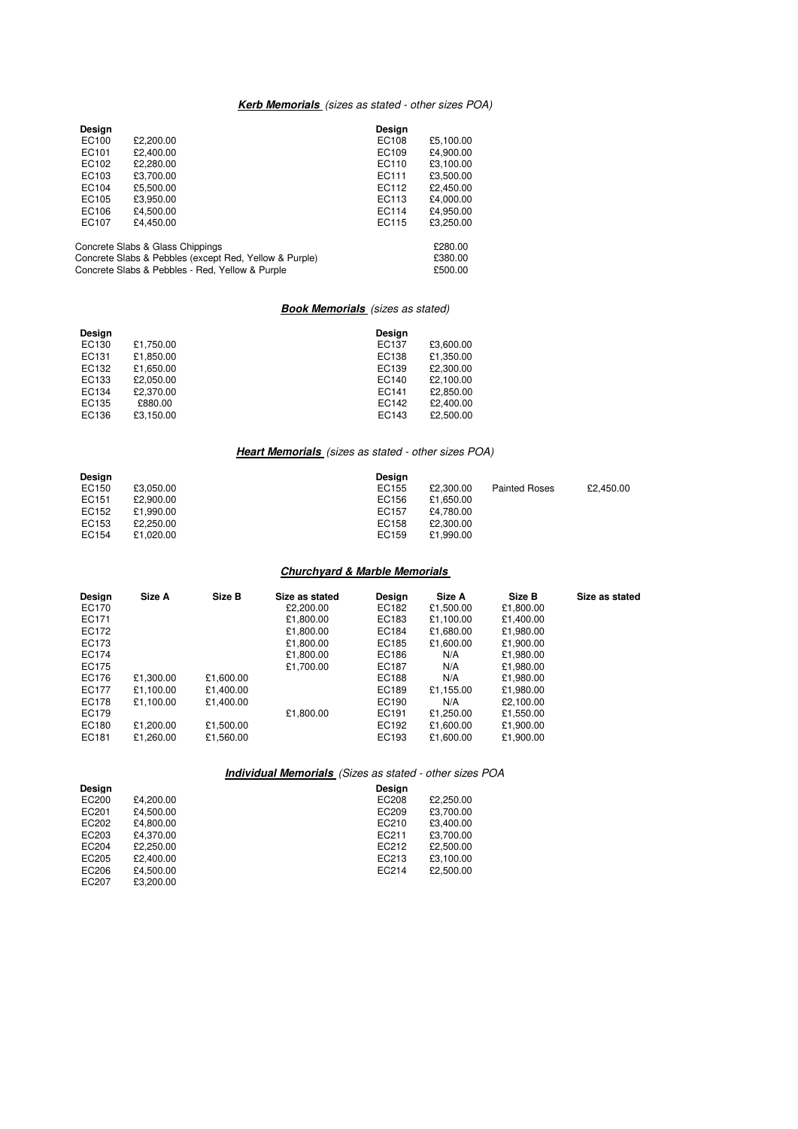## **Kerb Memorials** *(sizes as stated - other sizes POA)*

| Design |                                                        | Design |           |
|--------|--------------------------------------------------------|--------|-----------|
| EC100  | £2,200.00                                              | EC108  | £5,100.00 |
| EC101  | £2.400.00                                              | EC109  | £4,900.00 |
| EC102  | £2.280.00                                              | EC110  | £3.100.00 |
| EC103  | £3.700.00                                              | EC111  | £3.500.00 |
| EC104  | £5.500.00                                              | EC112  | £2,450.00 |
| EC105  | £3.950.00                                              | EC113  | £4.000.00 |
| EC106  | £4.500.00                                              | EC114  | £4,950.00 |
| EC107  | £4.450.00                                              | EC115  | £3,250.00 |
|        | Concrete Slabs & Glass Chippings                       |        | £280.00   |
|        | Concrete Slabs & Pebbles (except Red, Yellow & Purple) |        | £380.00   |
|        | Concrete Slabs & Pebbles - Red, Yellow & Purple        |        | £500.00   |
|        |                                                        |        |           |

## **Book Memorials** *(sizes as stated)*

| Design |           | Desian |           |
|--------|-----------|--------|-----------|
| EC130  | £1.750.00 | EC137  | £3,600.00 |
| EC131  | £1,850.00 | EC138  | £1,350.00 |
| EC132  | £1.650.00 | EC139  | £2,300.00 |
| EC133  | £2.050.00 | EC140  | £2,100.00 |
| EC134  | £2.370.00 | EC141  | £2.850.00 |
| EC135  | £880.00   | EC142  | £2.400.00 |
| EC136  | £3,150.00 | EC143  | £2.500.00 |

## **Heart Memorials** *(sizes as stated - other sizes POA)*

| Design |           | Desian |           |                      |           |
|--------|-----------|--------|-----------|----------------------|-----------|
| EC150  | £3.050.00 | EC155  | £2,300.00 | <b>Painted Roses</b> | £2.450.00 |
| EC151  | £2.900.00 | EC156  | £1.650.00 |                      |           |
| EC152  | £1.990.00 | EC157  | £4,780.00 |                      |           |
| EC153  | £2,250.00 | EC158  | £2,300.00 |                      |           |
| EC154  | £1.020.00 | EC159  | £1.990.00 |                      |           |

## **Churchyard & Marble Memorials**

| Design<br>EC170 | Size A    | Size B    | Size as stated<br>£2,200.00 | Desian<br>EC182 | Size A<br>£1,500.00 | Size B<br>£1,800.00 | Size as stated |
|-----------------|-----------|-----------|-----------------------------|-----------------|---------------------|---------------------|----------------|
| EC171           |           |           | £1,800.00                   | EC183           | £1.100.00           | £1.400.00           |                |
| EC172           |           |           | £1.800.00                   | EC184           | £1.680.00           | £1.980.00           |                |
| EC173           |           |           | £1,800.00                   | EC185           | £1,600.00           | £1,900.00           |                |
| EC174           |           |           | £1,800.00                   | EC186           | N/A                 | £1,980.00           |                |
| EC175           |           |           | £1.700.00                   | EC187           | N/A                 | £1,980.00           |                |
| EC176           | £1.300.00 | £1,600.00 |                             | EC188           | N/A                 | £1,980.00           |                |
| EC177           | £1.100.00 | £1,400.00 |                             | EC189           | £1,155.00           | £1,980.00           |                |
| EC178           | £1.100.00 | £1.400.00 |                             | EC190           | N/A                 | £2,100.00           |                |
| EC179           |           |           | £1.800.00                   | EC191           | £1.250.00           | £1.550.00           |                |
| EC180           | £1.200.00 | £1,500.00 |                             | EC192           | £1.600.00           | £1,900.00           |                |
| EC181           | £1,260.00 | £1,560.00 |                             | EC193           | £1,600.00           | £1,900.00           |                |

## **Individual Memorials** *(Sizes as stated - other sizes POA*

| Desian |           | Desian |           |
|--------|-----------|--------|-----------|
| EC200  | £4.200.00 | EC208  | £2,250.00 |
| EC201  | £4.500.00 | EC209  | £3.700.00 |
| EC202  | £4.800.00 | EC210  | £3.400.00 |
| EC203  | £4.370.00 | EC211  | £3.700.00 |
| EC204  | £2,250.00 | EC212  | £2.500.00 |
| EC205  | £2.400.00 | EC213  | £3.100.00 |
| EC206  | £4.500.00 | EC214  | £2.500.00 |
| EC207  | £3.200.00 |        |           |